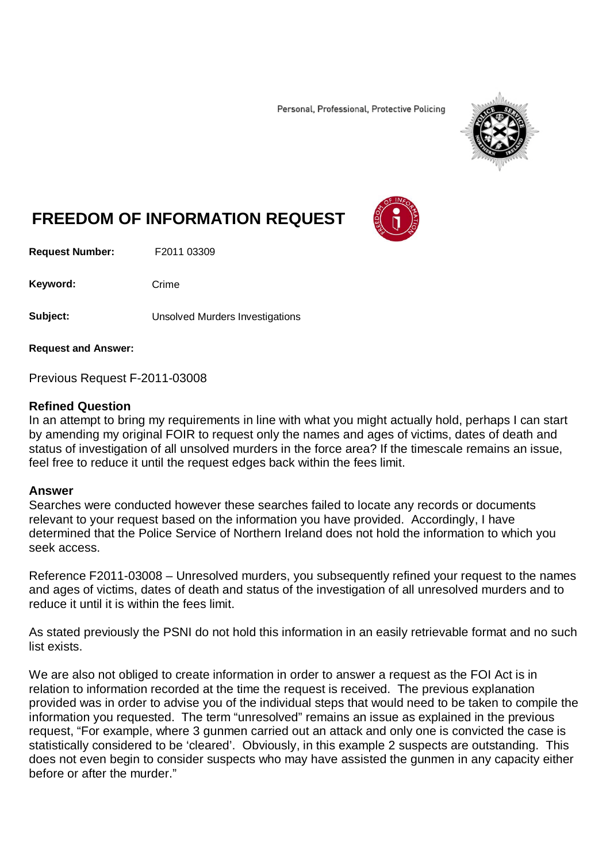Personal, Professional, Protective Policing



## **FREEDOM OF INFORMATION REQUEST**

**Request Number:** F2011 03309

Keyword: Crime

**Subject:** Unsolved Murders Investigations

**Request and Answer:**

Previous Request F-2011-03008

## **Refined Question**

In an attempt to bring my requirements in line with what you might actually hold, perhaps I can start by amending my original FOIR to request only the names and ages of victims, dates of death and status of investigation of all unsolved murders in the force area? If the timescale remains an issue, feel free to reduce it until the request edges back within the fees limit.

## **Answer**

Searches were conducted however these searches failed to locate any records or documents relevant to your request based on the information you have provided. Accordingly, I have determined that the Police Service of Northern Ireland does not hold the information to which you seek access.

Reference F2011-03008 – Unresolved murders, you subsequently refined your request to the names and ages of victims, dates of death and status of the investigation of all unresolved murders and to reduce it until it is within the fees limit.

As stated previously the PSNI do not hold this information in an easily retrievable format and no such list exists.

We are also not obliged to create information in order to answer a request as the FOI Act is in relation to information recorded at the time the request is received. The previous explanation provided was in order to advise you of the individual steps that would need to be taken to compile the information you requested. The term "unresolved" remains an issue as explained in the previous request, "For example, where 3 gunmen carried out an attack and only one is convicted the case is statistically considered to be 'cleared'. Obviously, in this example 2 suspects are outstanding. This does not even begin to consider suspects who may have assisted the gunmen in any capacity either before or after the murder."